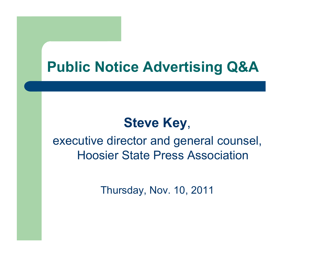# **Public Notice Advertising Q&A**

# **Steve Key**,

executive director and general counsel, Hoosier State Press Association

Thursday, Nov. 10, 2011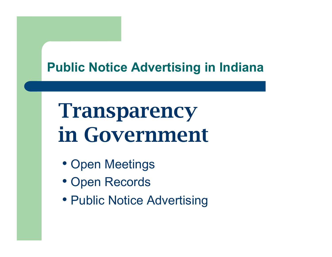# Transparency in Government

- Open Meetings
- Open Records
- Public Notice Advertising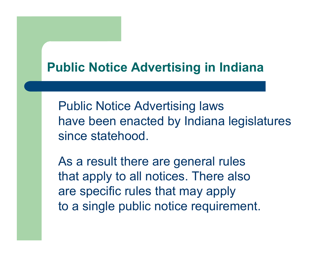Public Notice Advertising laws have been enacted by Indiana legislatures since statehood.

As a result there are general rules that apply to all notices. There also are specific rules that may apply to a single public notice requirement.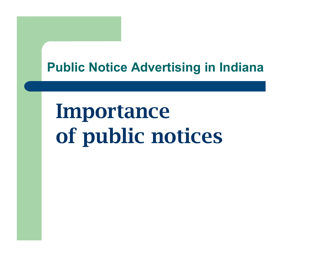# Importance of public notices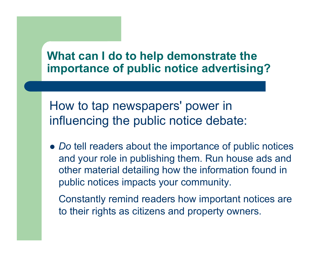How to tap newspapers' power in influencing the public notice debate:

 *Do* tell readers about the importance of public notices and your role in publishing them. Run house ads and other material detailing how the information found in public notices impacts your community.

Constantly remind readers how important notices are to their rights as citizens and property owners.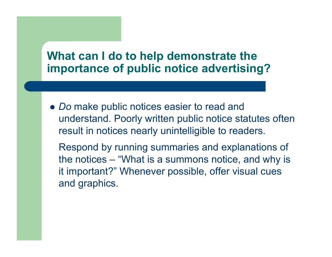*Do* make public notices easier to read and understand. Poorly written public notice statutes often result in notices nearly unintelligible to readers.

Respond by running summaries and explanations of the notices – "What is a summons notice, and why is it important?" Whenever possible, offer visual cues and graphics.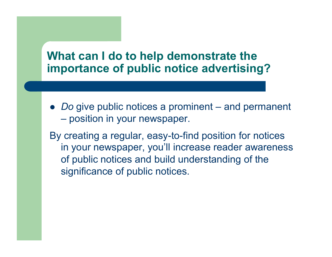*Do* give public notices a prominent – and permanent – position in your newspaper.

By creating a regular, easy-to-find position for notices in your newspaper, you'll increase reader awareness of public notices and build understanding of the significance of public notices.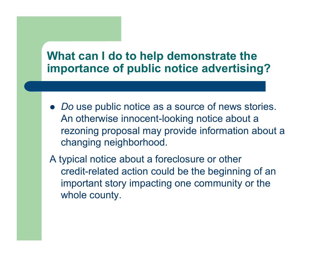- *Do* use public notice as a source of news stories. An otherwise innocent-looking notice about a rezoning proposal may provide information about a changing neighborhood.
- A typical notice about a foreclosure or other credit-related action could be the beginning of an important story impacting one community or the whole county.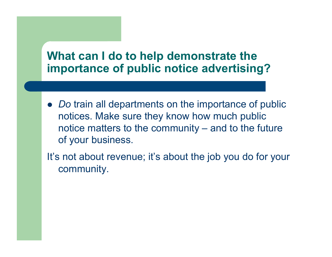• *Do* train all departments on the importance of public notices. Make sure they know how much public notice matters to the community – and to the future of your business.

It's not about revenue; it's about the job you do for your community.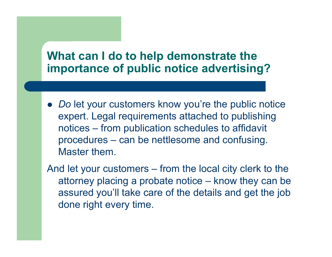• *Do* let your customers know you're the public notice expert. Legal requirements attached to publishing notices – from publication schedules to affidavit procedures – can be nettlesome and confusing. Master them.

And let your customers – from the local city clerk to the attorney placing a probate notice – know they can be assured you'll take care of the details and get the job done right every time.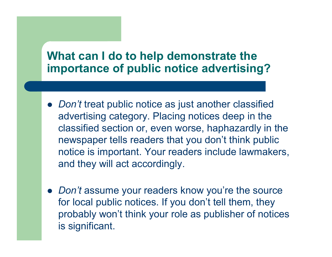- *Don't* treat public notice as just another classified advertising category. Placing notices deep in the classified section or, even worse, haphazardly in the newspaper tells readers that you don't think public notice is important. Your readers include lawmakers, and they will act accordingly.
- *Don't* assume your readers know you're the source for local public notices. If you don't tell them, they probably won't think your role as publisher of notices is significant.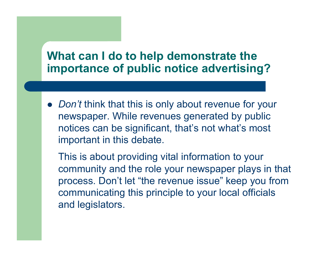*Don't* think that this is only about revenue for your newspaper. While revenues generated by public notices can be significant, that's not what's most important in this debate.

This is about providing vital information to your community and the role your newspaper plays in that process. Don't let "the revenue issue" keep you from communicating this principle to your local officials and legislators.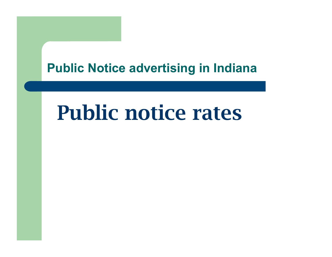# Public notice rates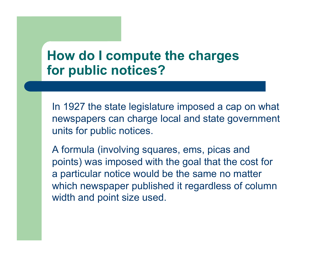In 1927 the state legislature imposed a cap on what newspapers can charge local and state government units for public notices.

A formula (involving squares, ems, picas and points) was imposed with the goal that the cost for a particular notice would be the same no matter which newspaper published it regardless of column width and point size used.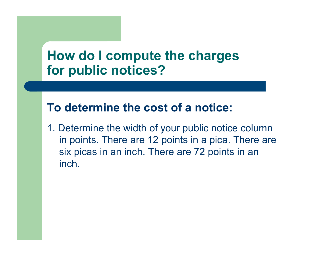#### **To determine the cost of a notice:**

1. Determine the width of your public notice column in points. There are 12 points in a pica. There are six picas in an inch. There are 72 points in an inch.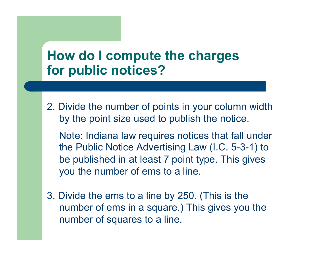2. Divide the number of points in your column width by the point size used to publish the notice.

Note: Indiana law requires notices that fall under the Public Notice Advertising Law (I.C. 5-3-1) to be published in at least 7 point type. This gives you the number of ems to a line.

3. Divide the ems to a line by 250. (This is the number of ems in a square.) This gives you the number of squares to a line.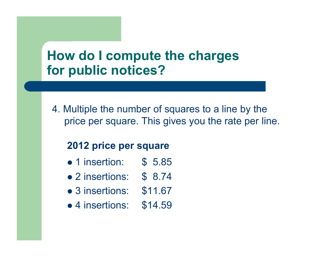4. Multiple the number of squares to a line by the price per square. This gives you the rate per line.

#### **2012 price per square**

- 1 insertion: \$ 5.85
- 2 insertions: \$ 8.74
- 3 insertions: \$11.67
- 4 insertions: \$14.59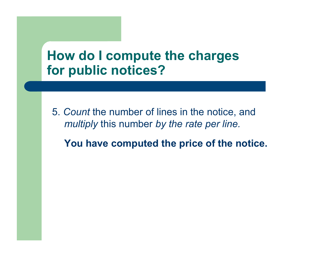5. *Count* the number of lines in the notice, and *multiply* this number *by the rate per line.* 

**You have computed the price of the notice.**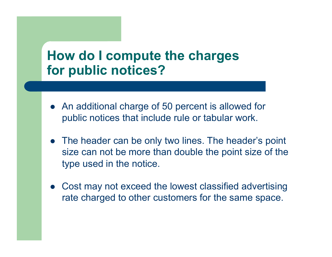- An additional charge of 50 percent is allowed for public notices that include rule or tabular work.
- The header can be only two lines. The header's point size can not be more than double the point size of the type used in the notice.
- Cost may not exceed the lowest classified advertising rate charged to other customers for the same space.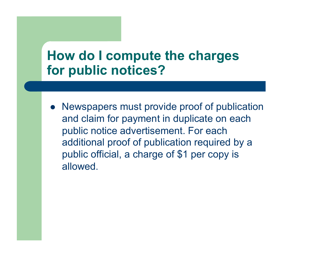• Newspapers must provide proof of publication and claim for payment in duplicate on each public notice advertisement. For each additional proof of publication required by a public official, a charge of \$1 per copy is allowed.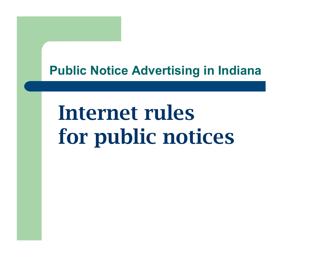# Internet rules for public notices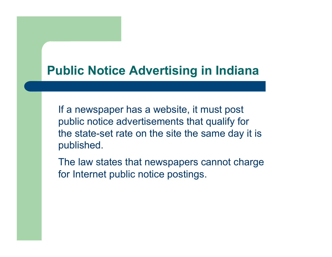If a newspaper has a website, it must post public notice advertisements that qualify for the state-set rate on the site the same day it is published.

The law states that newspapers cannot charge for Internet public notice postings.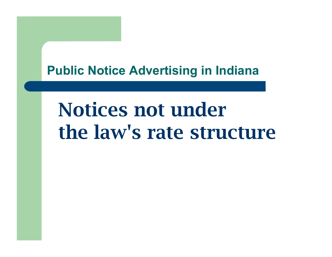# Notices not under the law's rate structure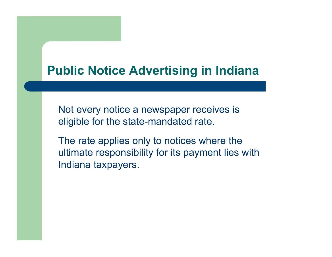Not every notice a newspaper receives is eligible for the state-mandated rate.

The rate applies only to notices where the ultimate responsibility for its payment lies with Indiana taxpayers.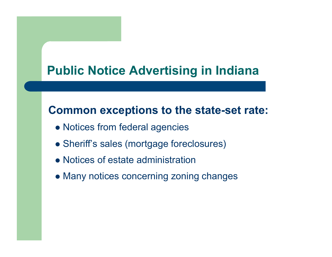#### **Common exceptions to the state-set rate:**

- Notices from federal agencies
- Sheriff's sales (mortgage foreclosures)
- Notices of estate administration
- Many notices concerning zoning changes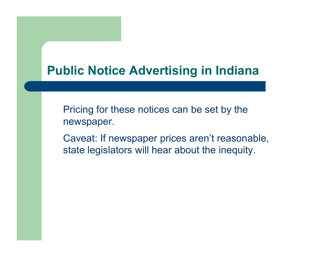Pricing for these notices can be set by the newspaper.

Caveat: If newspaper prices aren't reasonable, state legislators will hear about the inequity.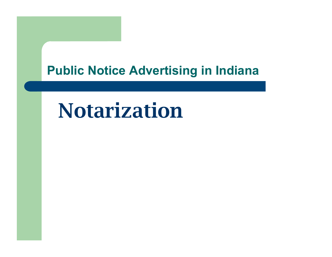# Notarization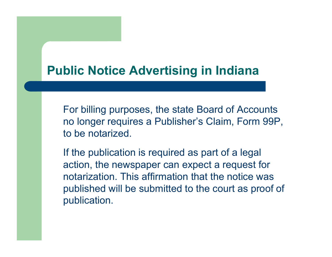For billing purposes, the state Board of Accounts no longer requires a Publisher's Claim, Form 99P, to be notarized.

If the publication is required as part of a legal action, the newspaper can expect a request for notarization. This affirmation that the notice was published will be submitted to the court as proof of publication.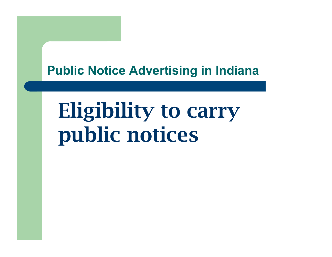# Eligibility to carry public notices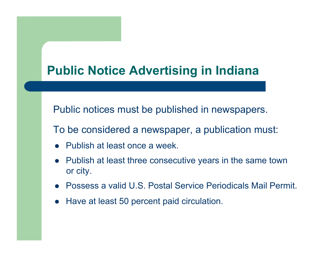Public notices must be published in newspapers.

To be considered a newspaper, a publication must:

- Publish at least once a week.
- Publish at least three consecutive years in the same town or city.
- Possess a valid U.S. Postal Service Periodicals Mail Permit.
- Have at least 50 percent paid circulation.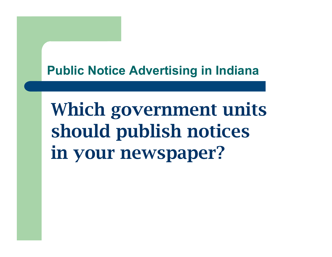Which government units should publish notices in your newspaper?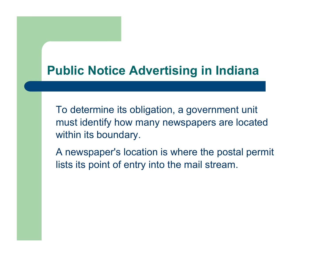To determine its obligation, a government unit must identify how many newspapers are located within its boundary.

A newspaper's location is where the postal permit lists its point of entry into the mail stream.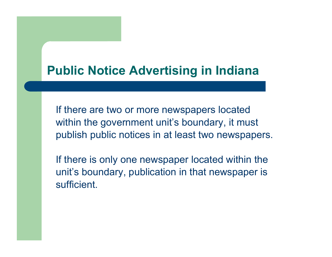If there are two or more newspapers located within the government unit's boundary, it must publish public notices in at least two newspapers.

If there is only one newspaper located within the unit's boundary, publication in that newspaper is sufficient.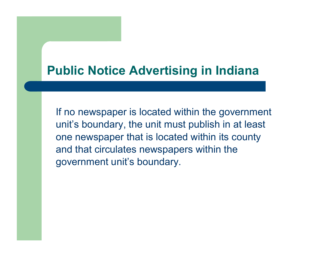If no newspaper is located within the government unit's boundary, the unit must publish in at least one newspaper that is located within its county and that circulates newspapers within the government unit's boundary.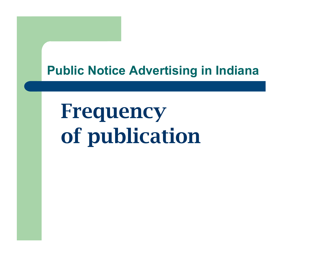Frequency of publication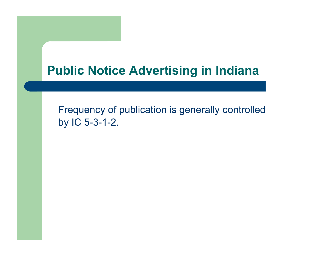Frequency of publication is generally controlled by IC 5-3-1-2.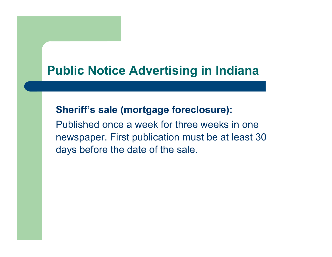#### **Sheriff's sale (mortgage foreclosure):**

Published once a week for three weeks in one newspaper. First publication must be at least 30 days before the date of the sale.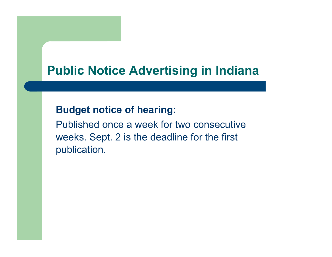#### **Budget notice of hearing:**

Published once a week for two consecutive weeks. Sept. 2 is the deadline for the first publication.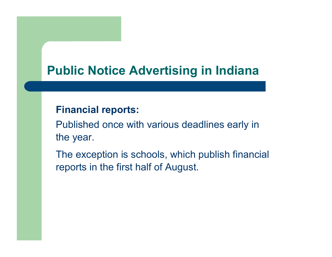#### **Financial reports:**

Published once with various deadlines early in the year.

The exception is schools, which publish financial reports in the first half of August.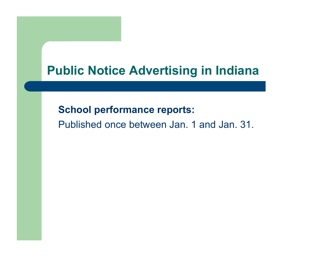#### **School performance reports:**

Published once between Jan. 1 and Jan. 31.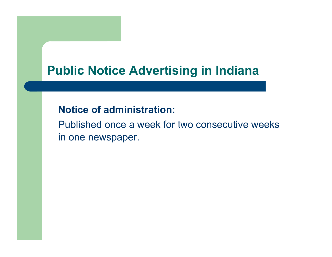#### **Notice of administration:**

Published once a week for two consecutive weeks in one newspaper.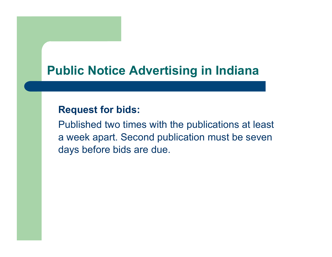#### **Request for bids:**

Published two times with the publications at least a week apart. Second publication must be seven days before bids are due.